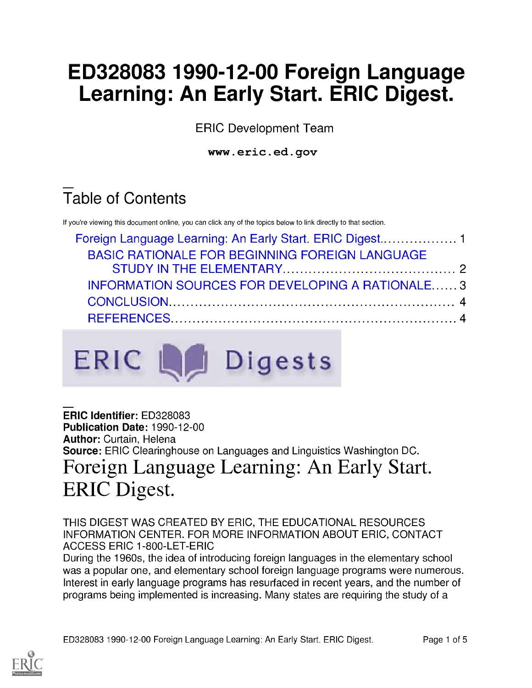# ED328083 1990-12-00 Foreign Language Learning: An Early Start. ERIC Digest.

ERIC Development Team

www.eric.ed.gov

# Table of Contents

If you're viewing this document online, you can click any of the topics below to link directly to that section.

| <b>BASIC RATIONALE FOR BEGINNING FOREIGN LANGUAGE</b> |  |
|-------------------------------------------------------|--|
|                                                       |  |
| INFORMATION SOURCES FOR DEVELOPING A RATIONALE3       |  |
|                                                       |  |
|                                                       |  |



### ERIC Identifier: ED328083 Publication Date: 1990-12-00 Author: Curtain, Helena Source: ERIC Clearinghouse on Languages and Linguistics Washington DC. Foreign Language Learning: An Early Start. ERIC Digest.

THIS DIGEST WAS CREATED BY ERIC, THE EDUCATIONAL RESOURCES INFORMATION CENTER. FOR MORE INFORMATION ABOUT ERIC, CONTACT ACCESS ERIC 1-800-LET-ERIC

During the 1960s, the idea of introducing foreign languages in the elementary school was a popular one, and elementary school foreign language programs were numerous. Interest in early language programs has resurfaced in recent years, and the number of programs being implemented is increasing. Many states are requiring the study of a

ED328083 1990-12-00 Foreign Language Learning: An Early Start. ERIC Digest. Page 1 of 5

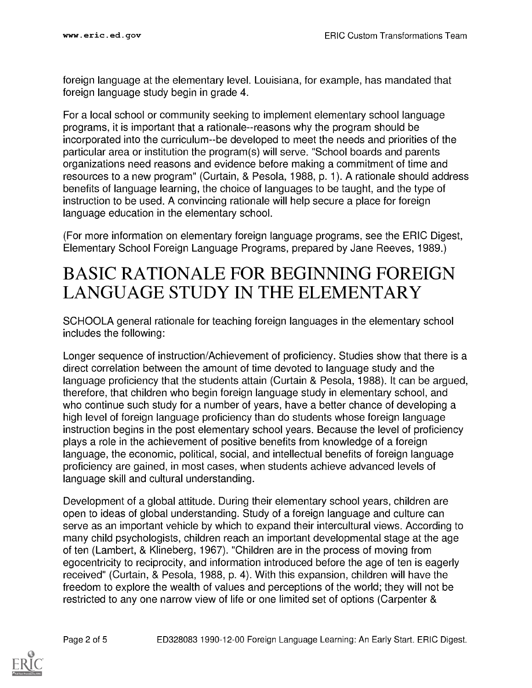foreign language at the elementary level. Louisiana, for example, has mandated that foreign language study begin in grade 4.

For a local school or community seeking to implement elementary school language programs, it is important that a rationale--reasons why the program should be incorporated into the curriculum--be developed to meet the needs and priorities of the particular area or institution the program(s) will serve. "School boards and parents organizations need reasons and evidence before making a commitment of time and resources to a new program" (Curtain, & Pesola, 1988, p. 1). A rationale should address benefits of language learning, the choice of languages to be taught, and the type of instruction to be used. A convincing rationale will help secure a place for foreign language education in the elementary school.

(For more information on elementary foreign language programs, see the ERIC Digest, Elementary School Foreign Language Programs, prepared by Jane Reeves, 1989.)

### BASIC RATIONALE FOR BEGINNING FOREIGN LANGUAGE STUDY IN THE ELEMENTARY

SCHOOLA general rationale for teaching foreign languages in the elementary school includes the following:

Longer sequence of instruction/Achievement of proficiency. Studies show that there is a direct correlation between the amount of time devoted to language study and the language proficiency that the students attain (Curtain & Pesola, 1988). It can be argued, therefore, that children who begin foreign language study in elementary school, and who continue such study for a number of years, have a better chance of developing a high level of foreign language proficiency than do students whose foreign language instruction begins in the post elementary school years. Because the level of proficiency plays a role in the achievement of positive benefits from knowledge of a foreign language, the economic, political, social, and intellectual benefits of foreign language proficiency are gained, in most cases, when students achieve advanced levels of language skill and cultural understanding.

Development of a global attitude. During their elementary school years, children are open to ideas of global understanding. Study of a foreign language and culture can serve as an important vehicle by which to expand their intercultural views. According to many child psychologists, children reach an important developmental stage at the age of ten (Lambert, & Klineberg, 1967). "Children are in the process of moving from egocentricity to reciprocity, and information introduced before the age of ten is eagerly received" (Curtain, & Pesola, 1988, p. 4). With this expansion, children will have the freedom to explore the wealth of values and perceptions of the world; they will not be restricted to any one narrow view of life or one limited set of options (Carpenter &

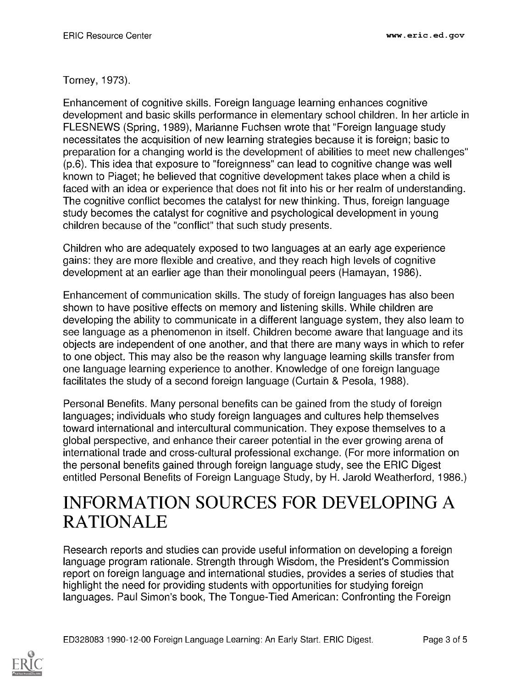#### Torney, 1973).

Enhancement of cognitive skills. Foreign language learning enhances cognitive development and basic skills performance in elementary school children. In her article in FLESNEWS (Spring, 1989), Marianne Fuchsen wrote that "Foreign language study necessitates the acquisition of new learning strategies because it is foreign; basic to preparation for a changing world is the development of abilities to meet new challenges" (p.6). This idea that exposure to "foreignness" can lead to cognitive change was well known to Piaget; he believed that cognitive development takes place when a child is faced with an idea or experience that does not fit into his or her realm of understanding. The cognitive conflict becomes the catalyst for new thinking. Thus, foreign language study becomes the catalyst for cognitive and psychological development in young children because of the "conflict" that such study presents.

Children who are adequately exposed to two languages at an early age experience gains: they are more flexible and creative, and they reach high levels of cognitive development at an earlier age than their monolingual peers (Hamayan, 1986).

Enhancement of communication skills. The study of foreign languages has also been shown to have positive effects on memory and listening skills. While children are developing the ability to communicate in a different language system, they also learn to see language as a phenomenon in itself. Children become aware that language and its objects are independent of one another, and that there are many ways in which to refer to one object. This may also be the reason why language learning skills transfer from one language learning experience to another. Knowledge of one foreign language facilitates the study of a second foreign language (Curtain & Pesola, 1988).

Personal Benefits. Many personal benefits can be gained from the study of foreign languages; individuals who study foreign languages and cultures help themselves toward international and intercultural communication. They expose themselves to a global perspective, and enhance their career potential in the ever growing arena of international trade and cross-cultural professional exchange. (For more information on the personal benefits gained through foreign language study, see the ERIC Digest entitled Personal Benefits of Foreign Language Study, by H. Jarold Weatherford, 1986.)

## INFORMATION SOURCES FOR DEVELOPING A RATIONALE

Research reports and studies can provide useful information on developing a foreign language program rationale. Strength through Wisdom, the President's Commission report on foreign language and international studies, provides a series of studies that highlight the need for providing students with opportunities for studying foreign languages. Paul Simon's book, The Tongue-Tied American: Confronting the Foreign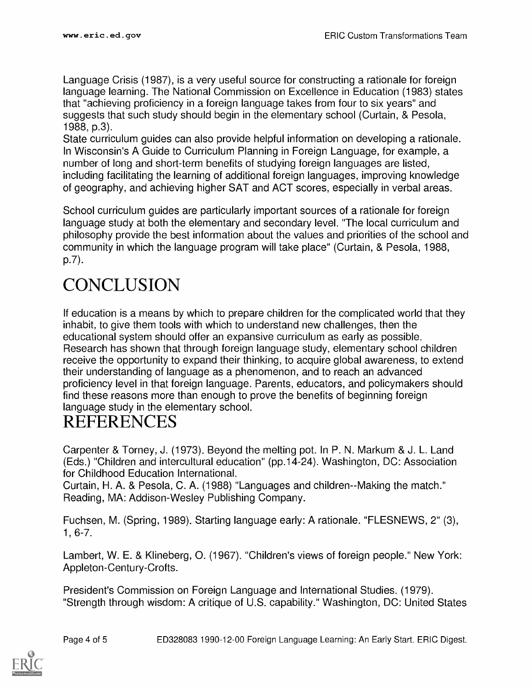Language Crisis (1987), is a very useful source for constructing a rationale for foreign language learning. The National Commission on Excellence in Education (1983) states that "achieving proficiency in a foreign language takes from four to six years" and suggests that such study should begin in the elementary school (Curtain, & Pesola, 1988, p.3).

State curriculum guides can also provide helpful information on developing a rationale. In Wisconsin's A Guide to Curriculum Planning in Foreign Language, for example, a number of long and short-term benefits of studying foreign languages are listed, including facilitating the learning of additional foreign languages, improving knowledge of geography, and achieving higher SAT and ACT scores, especially in verbal areas.

School curriculum guides are particularly important sources of a rationale for foreign language study at both the elementary and secondary level. "The local curriculum and philosophy provide the best information about the values and priorities of the school and community in which the language program will take place" (Curtain, & Pesola, 1988, p.7).

# **CONCLUSION**

If education is a means by which to prepare children for the complicated world that they inhabit, to give them tools with which to understand new challenges, then the educational system should offer an expansive curriculum as early as possible. Research has shown that through foreign language study, elementary school children receive the opportunity to expand their thinking, to acquire global awareness, to extend their understanding of language as a phenomenon, and to reach an advanced proficiency level in that foreign language. Parents, educators, and policymakers should find these reasons more than enough to prove the benefits of beginning foreign language study in the elementary school.

## REFERENCES

Carpenter & Torney, J. (1973). Beyond the melting pot. In P. N. Markum & J. L. Land (Eds.) "Children and intercultural education" (pp.14-24). Washington, DC: Association for Childhood Education International.

Curtain, H. A. & Pesola, C. A. (1988) "Languages and children--Making the match." Reading, MA: Addison-Wesley Publishing Company.

Fuchsen, M. (Spring, 1989). Starting language early: A rationale. "FLESNEWS, 2" (3), 1, 6-7.

Lambert, W. E. & Klineberg, 0. (1967). "Children's views of foreign people." New York: Appleton-Century-Crofts.

President's Commission on Foreign Language and International Studies. (1979). "Strength through wisdom: A critique of U.S. capability." Washington, DC: United States